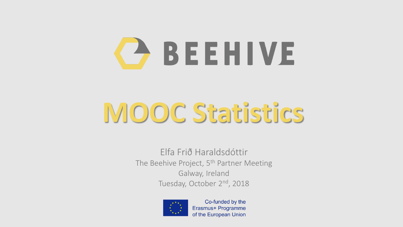

# **MOOC Statistics**

Elfa Frið Haraldsdóttir The Beehive Project, 5<sup>th</sup> Partner Meeting Galway, Ireland Tuesday, October 2<sup>nd</sup>, 2018



Co-funded by the Erasmus+ Programme of the European Union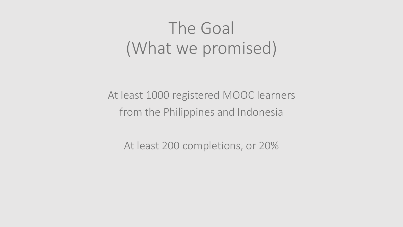### The Goal (What we promised)

At least 1000 registered MOOC learners from the Philippines and Indonesia

At least 200 completions, or 20%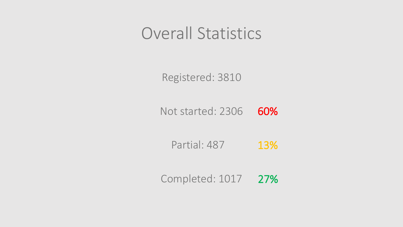#### Overall Statistics

Registered: 3810

Not started: 2306 60%

Partial: 487 13%

Completed: 1017 27%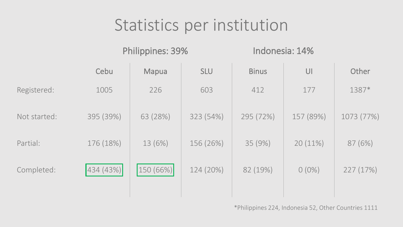#### Statistics per institution

Philippines: 39% Indonesia: 14%

| Cebu      | <b>Mapua</b> | <b>SLU</b> | <b>Binus</b> | U         | Other      |
|-----------|--------------|------------|--------------|-----------|------------|
| 1005      | 226          | 603        | 412          | 177       | 1387*      |
| 395 (39%) | 63 (28%)     | 323 (54%)  | 295 (72%)    | 157 (89%) | 1073 (77%) |
| 176 (18%) | 13 (6%)      | 156 (26%)  | 35 (9%)      | 20(11%)   | 87 (6%)    |
| 434(43%)  | 150(66%)     | 124 (20%)  | 82 (19%)     | $O(0\%)$  | 227(17%)   |
|           |              |            |              |           |            |

\*Philippines 224, Indonesia 52, Other Countries 1111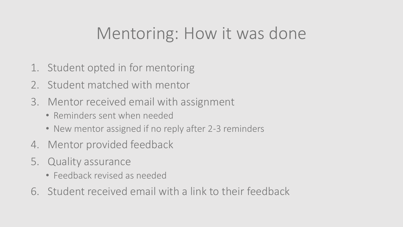#### Mentoring: How it was done

- 1. Student opted in for mentoring
- 2. Student matched with mentor
- 3. Mentor received email with assignment
	- Reminders sent when needed
	- New mentor assigned if no reply after 2-3 reminders
- 4. Mentor provided feedback
- 5. Quality assurance
	- Feedback revised as needed
- 6. Student received email with a link to their feedback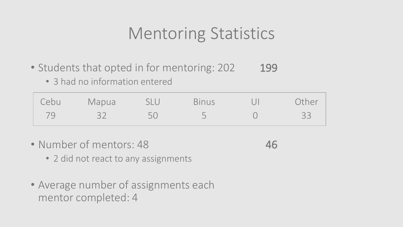#### Mentoring Statistics

- Students that opted in for mentoring: 202 199
	- 3 had no information entered

| Cebu | Mapua           | SLUT      | Binus          | Other |
|------|-----------------|-----------|----------------|-------|
| 79   | 32 <sup>1</sup> | <b>50</b> | $\overline{a}$ | 33    |

• Number of mentors: 48

46

- 2 did not react to any assignments
- Average number of assignments each mentor completed: 4